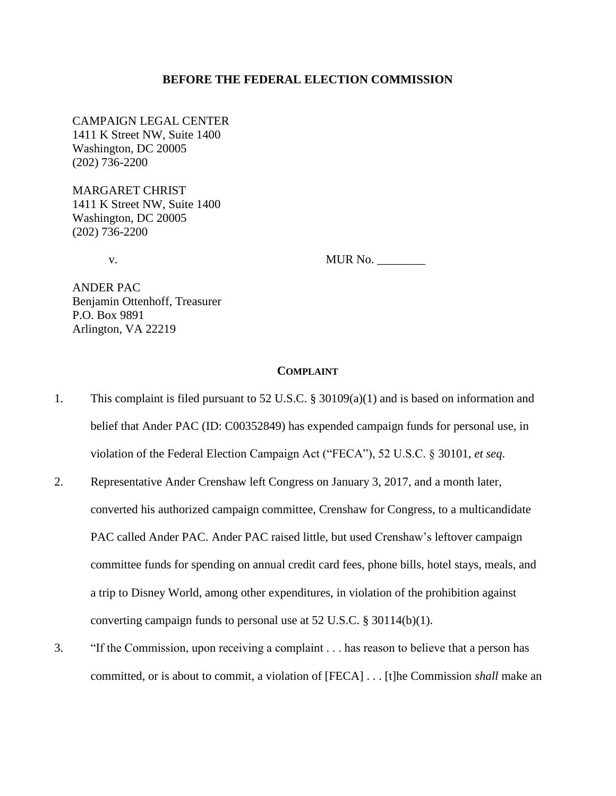### **BEFORE THE FEDERAL ELECTION COMMISSION**

CAMPAIGN LEGAL CENTER 1411 K Street NW, Suite 1400 Washington, DC 20005 (202) 736-2200

MARGARET CHRIST 1411 K Street NW, Suite 1400 Washington, DC 20005 (202) 736-2200

v. MUR No. \_\_\_\_\_\_\_\_

ANDER PAC Benjamin Ottenhoff, Treasurer P.O. Box 9891 Arlington, VA 22219

## **COMPLAINT**

- 1. This complaint is filed pursuant to 52 U.S.C. § 30109(a)(1) and is based on information and belief that Ander PAC (ID: C00352849) has expended campaign funds for personal use, in violation of the Federal Election Campaign Act ("FECA"), 52 U.S.C. § 30101, *et seq*.
- 2. Representative Ander Crenshaw left Congress on January 3, 2017, and a month later, converted his authorized campaign committee, Crenshaw for Congress, to a multicandidate PAC called Ander PAC. Ander PAC raised little, but used Crenshaw's leftover campaign committee funds for spending on annual credit card fees, phone bills, hotel stays, meals, and a trip to Disney World, among other expenditures, in violation of the prohibition against converting campaign funds to personal use at 52 U.S.C. § 30114(b)(1).
- 3. "If the Commission, upon receiving a complaint . . . has reason to believe that a person has committed, or is about to commit, a violation of [FECA] . . . [t]he Commission *shall* make an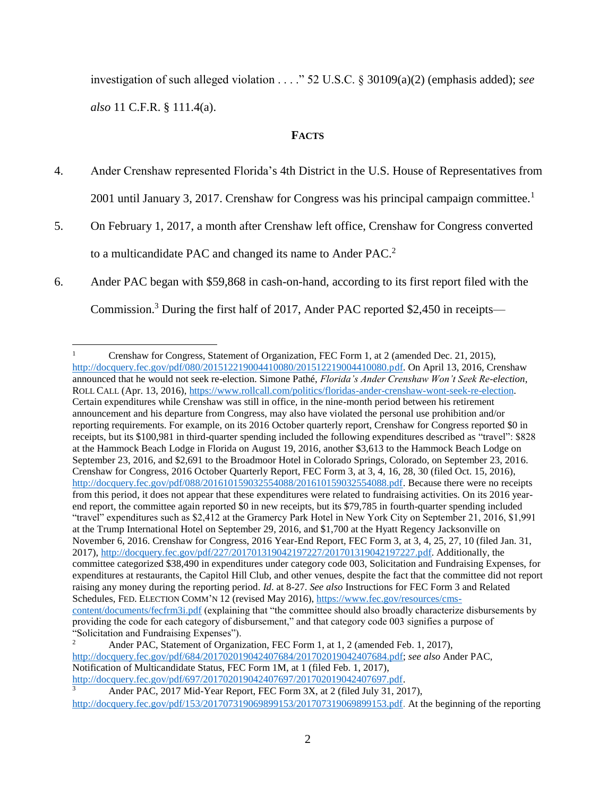investigation of such alleged violation . . . ." 52 U.S.C. § 30109(a)(2) (emphasis added); *see also* 11 C.F.R. § 111.4(a).

## **FACTS**

- 4. Ander Crenshaw represented Florida's 4th District in the U.S. House of Representatives from 2001 until January 3, 2017. Crenshaw for Congress was his principal campaign committee.<sup>1</sup>
- 5. On February 1, 2017, a month after Crenshaw left office, Crenshaw for Congress converted to a multicandidate PAC and changed its name to Ander PAC.<sup>2</sup>
- 6. Ander PAC began with \$59,868 in cash-on-hand, according to its first report filed with the Commission.<sup>3</sup> During the first half of 2017, Ander PAC reported \$2,450 in receipts—

Ander PAC[,](javascript:;) 2017 Mid-Year Report, FEC Form 3X, at 2 (filed July 31, 2017), [http://docquery.fec.gov/pdf/153/201707319069899153/201707319069899153.pdf.](javascript:;) At the beginning of the reporting

 $\mathbf{1}$ <sup>1</sup> Crenshaw for Congress, Statement of Organization, FEC Form 1, at 2 (amended Dec. 21, 2015), [http://docquery.fec.gov/pdf/080/201512219004410080/201512219004410080.pdf.](http://docquery.fec.gov/pdf/080/201512219004410080/201512219004410080.pdf) On April 13, 2016, Crenshaw announced that he would not seek re-election. Simone Pathé, *Florida's Ander Crenshaw Won't Seek Re-election*, ROLL CALL (Apr. 13, 2016), [https://www.rollcall.com/politics/floridas-ander-crenshaw-wont-seek-re-election.](https://www.rollcall.com/politics/floridas-ander-crenshaw-wont-seek-re-election) Certain expenditures while Crenshaw was still in office, in the nine-month period between his retirement announcement and his departure from Congress, may also have violated the personal use prohibition and/or reporting requirements. For example, on its 2016 October quarterly report, Crenshaw for Congress reported \$0 in receipts, but its \$100,981 in third-quarter spending included the following expenditures described as "travel": \$828 at the Hammock Beach Lodge in Florida on August 19, 2016, another \$3,613 to the Hammock Beach Lodge on September 23, 2016, and \$2,691 to the Broadmoor Hotel in Colorado Springs, Colorado, on September 23, 2016. Crenshaw for Congress, 2016 October Quarterly Report, FEC Form 3, at 3, 4, 16, 28, 30 (filed Oct. 15, 2016), [http://docquery.fec.gov/pdf/088/201610159032554088/201610159032554088.pdf.](http://docquery.fec.gov/pdf/088/201610159032554088/201610159032554088.pdf) Because there were no receipts from this period, it does not appear that these expenditures were related to fundraising activities. On its 2016 yearend report, the committee again reported \$0 in new receipts, but its \$79,785 in fourth-quarter spending included "travel" expenditures such as \$2,412 at the Gramercy Park Hotel in New York City on September 21, 2016, \$1,991 at the Trump International Hotel on September 29, 2016, and \$1,700 at the Hyatt Regency Jacksonville on November 6, 2016. Crenshaw for Congress, 2016 Year-End Report, FEC Form 3, at 3, 4, 25, 27, 10 (filed Jan. 31, 2017), [http://docquery.fec.gov/pdf/227/201701319042197227/201701319042197227.pdf.](http://docquery.fec.gov/pdf/227/201701319042197227/201701319042197227.pdf) Additionally, the committee categorized \$38,490 in expenditures under category code 003, Solicitation and Fundraising Expenses, for expenditures at restaurants, the Capitol Hill Club, and other venues, despite the fact that the committee did not report raising any money during the reporting period. *Id*. at 8-27. *See also* Instructions for FEC Form 3 and Related Schedules, FED. ELECTION COMM'N 12 (revised May 2016)[, https://www.fec.gov/resources/cms](https://www.fec.gov/resources/cms-content/documents/fecfrm3i.pdf)[content/documents/fecfrm3i.pdf](https://www.fec.gov/resources/cms-content/documents/fecfrm3i.pdf) (explaining that "the committee should also broadly characterize disbursements by providing the code for each category of disbursement," and that category code 003 signifies a purpose of "Solicitation and Fundraising Expenses").<br> $\frac{2}{\pi}$  Ander BAC, Statement of Organiz

<sup>2</sup> Ander PAC, Statement of Organization, FEC Form 1, at 1, 2 (amended Feb. 1, 2017), [http://docquery.fec.gov/pdf/684/201702019042407684/201702019042407684.pdf;](http://docquery.fec.gov/pdf/684/201702019042407684/201702019042407684.pdf) *see also* Ander PAC, Notification of Multicandidate Status, FEC Form 1M, at 1 (filed Feb. 1, 2017), [http://docquery.fec.gov/pdf/697/201702019042407697/201702019042407697.pdf.](http://docquery.fec.gov/pdf/697/201702019042407697/201702019042407697.pdf)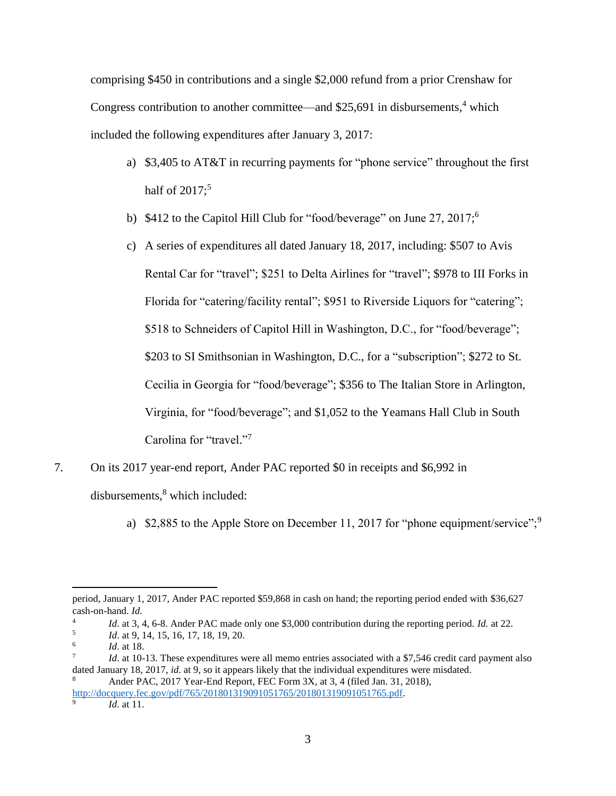comprising \$450 in contributions and a single \$2,000 refund from a prior Crenshaw for Congress contribution to another committee—and  $$25,691$  in disbursements,<sup>4</sup> which included the following expenditures after January 3, 2017:

- a) \$3,405 to AT&T in recurring payments for "phone service" throughout the first half of  $2017$ ;<sup>5</sup>
- b) \$412 to the Capitol Hill Club for "food/beverage" on June 27, 2017;<sup>6</sup>
- c) A series of expenditures all dated January 18, 2017, including: \$507 to Avis Rental Car for "travel"; \$251 to Delta Airlines for "travel"; \$978 to III Forks in Florida for "catering/facility rental"; \$951 to Riverside Liquors for "catering"; \$518 to Schneiders of Capitol Hill in Washington, D.C., for "food/beverage"; \$203 to SI Smithsonian in Washington, D.C., for a "subscription"; \$272 to St. Cecilia in Georgia for "food/beverage"; \$356 to The Italian Store in Arlington, Virginia, for "food/beverage"; and \$1,052 to the Yeamans Hall Club in South Carolina for "travel."7
- 7. On its 2017 year-end report, Ander PAC reported \$0 in receipts and \$6,992 in

disbursements, <sup>8</sup> which included:

a) \$2,885 to the Apple Store on December 11, 2017 for "phone equipment/service";  $9^{\circ}$ 

<sup>8</sup> Ander PAC, 2017 Year-End Report, FEC Form 3X, at 3, 4 (filed Jan. 31, 2018), [http://docquery.fec.gov/pdf/765/201801319091051765/201801319091051765.pdf.](http://docquery.fec.gov/pdf/765/201801319091051765/201801319091051765.pdf)

9

l period, January 1, 2017, Ander PAC reported \$59,868 in cash on hand; the reporting period ended with \$36,627 cash-on-hand. *Id.*

<sup>4</sup> *Id*. at 3, 4, 6-8. Ander PAC made only one \$3,000 contribution during the reporting period. *Id.* at 22.

<sup>5</sup> *Id*. at 9, 14, 15, 16, 17, 18, 19, 20.

<sup>6</sup> *Id*. at 18.

<sup>7</sup> *Id.* at 10-13. These expenditures were all memo entries associated with a \$7,546 credit card payment also dated January 18, 2017, *id*. at 9, so it appears likely that the individual expenditures were misdated.

*Id*. at 11.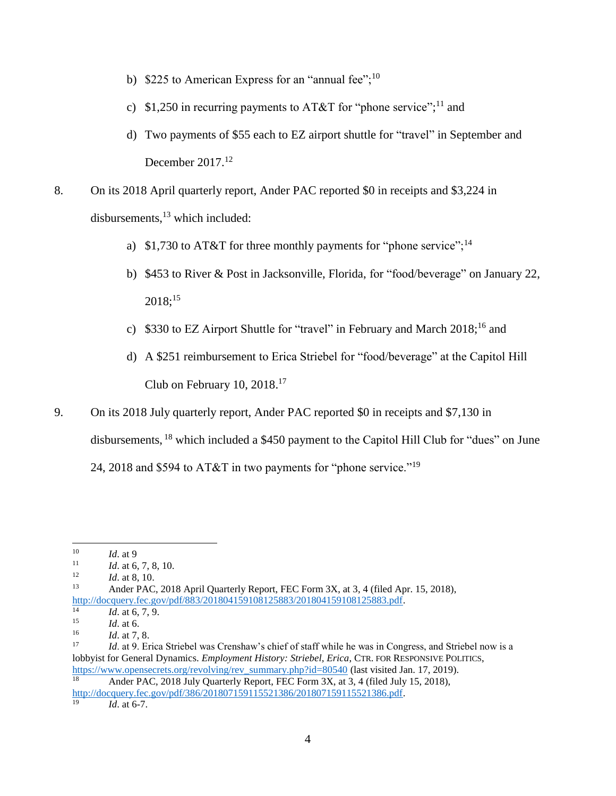- b) \$225 to American Express for an "annual fee"; $^{10}$
- c) \$1,250 in recurring payments to AT&T for "phone service";<sup>11</sup> and
- d) Two payments of \$55 each to EZ airport shuttle for "travel" in September and December 2017.<sup>12</sup>

8. On its 2018 April quarterly report, Ander PAC reported \$0 in receipts and \$3,224 in disbursements, $^{13}$  which included:

- a) \$1,730 to AT&T for three monthly payments for "phone service";<sup>14</sup>
- b) \$453 to River & Post in Jacksonville, Florida, for "food/beverage" on January 22,  $2018;^{15}$
- c) \$330 to EZ Airport Shuttle for "travel" in February and March  $2018$ ;<sup>16</sup> and
- d) A \$251 reimbursement to Erica Striebel for "food/beverage" at the Capitol Hill Club on February 10, 2018. 17
- 9. On its 2018 July quarterly report, Ander PAC reported \$0 in receipts and \$7,130 in disbursements, <sup>18</sup> which included a \$450 payment to the Capitol Hill Club for "dues" on June 24, 2018 and \$594 to AT&T in two payments for "phone service."<sup>19</sup>

 $10\,$  $\frac{10}{11}$  *Id.* at 9

 $\frac{11}{12}$  *Id.* at 6, 7, 8, 10.

 $\frac{12}{13}$  *Id.* at 8, 10.

Ander PAC, 2018 April Quarterly Report, FEC Form 3X, at 3, 4 (filed Apr. 15, 2018), http://docquery.fec.gov/pdf/883/201804159108125883/201804159108125883.ndf.

 $14$  *Id.* at 6, 7, 9.

 $15$  *Id.* at 6.

 $\frac{16}{17}$  *Id.* at 7, 8.

*Id.* at 9. Erica Striebel was Crenshaw's chief of staff while he was in Congress, and Striebel now is a lobbyist for General Dynamics. *Employment History: Striebel, Erica*, CTR. FOR RESPONSIVE POLITICS, [https://www.opensecrets.org/revolving/rev\\_summary.php?id=80540](https://www.opensecrets.org/revolving/rev_summary.php?id=80540) (last visited Jan. 17, 2019). Ander PAC, 2018 July Quarterly Report, FEC Form 3X, at 3, 4 (filed July 15, 2018),

[http://docquery.fec.gov/pdf/386/201807159115521386/201807159115521386.pdf.](http://docquery.fec.gov/pdf/386/201807159115521386/201807159115521386.pdf)

*Id.* at 6-7.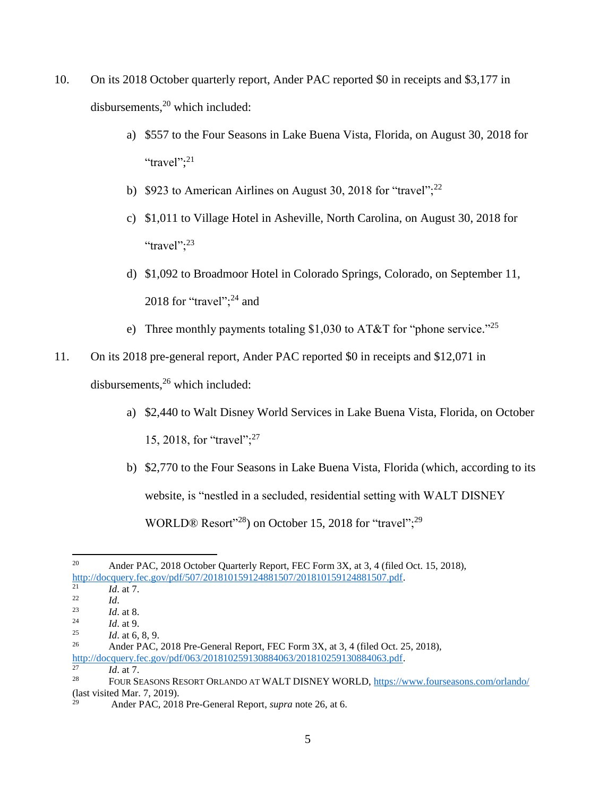- 10. On its 2018 October quarterly report, Ander PAC reported \$0 in receipts and \$3,177 in disbursements,<sup>20</sup> which included:
	- a) \$557 to the Four Seasons in Lake Buena Vista, Florida, on August 30, 2018 for "travel"; $^{21}$
	- b) \$923 to American Airlines on August 30, 2018 for "travel";<sup>22</sup>
	- c) \$1,011 to Village Hotel in Asheville, North Carolina, on August 30, 2018 for "travel";<sup>23</sup>
	- d) \$1,092 to Broadmoor Hotel in Colorado Springs, Colorado, on September 11, 2018 for "travel"; $^{24}$  and
	- e) Three monthly payments totaling \$1,030 to AT&T for "phone service."<sup>25</sup>
- 11. On its 2018 pre-general report, Ander PAC reported \$0 in receipts and \$12,071 in

disbursements,<sup>26</sup> which included:

- a) \$2,440 to Walt Disney World Services in Lake Buena Vista, Florida, on October 15, 2018, for "travel";<sup>27</sup>
- b) \$2,770 to the Four Seasons in Lake Buena Vista, Florida (which, according to its website, is "nestled in a secluded, residential setting with WALT DISNEY WORLD® Resort"<sup>28</sup>) on October 15, 2018 for "travel";<sup>29</sup>

<sup>27</sup> *Id*. at 7.

 $20\degree$ <sup>20</sup> Ander PAC, 2018 October Quarterly Report, FEC Form 3X, at 3, 4 (filed Oct. 15, 2018), [http://docquery.fec.gov/pdf/507/201810159124881507/201810159124881507.pdf.](http://docquery.fec.gov/pdf/507/201810159124881507/201810159124881507.pdf)

 $\frac{21}{22}$  *Id.* at 7.

 $\frac{22}{23}$  *Id.* 

 $\frac{23}{24}$  *Id.* at 8.

 $\frac{24}{25}$  *Id.* at 9.

 $\frac{25}{26}$  *Id.* at 6, 8, 9.

Ander PAC, 2018 Pre-General Report, FEC Form 3X, at 3, 4 (filed Oct. 25, 2018), [http://docquery.fec.gov/pdf/063/201810259130884063/201810259130884063.pdf.](http://docquery.fec.gov/pdf/063/201810259130884063/201810259130884063.pdf)

<sup>28</sup> FOUR SEASONS RESORT ORLANDO AT WALT DISNEY WORLD[, https://www.fourseasons.com/orlando/](https://www.fourseasons.com/orlando/) (last visited Mar. 7, 2019).

<sup>29</sup> Ander PAC, 2018 Pre-General Report, *supra* note 26, at 6.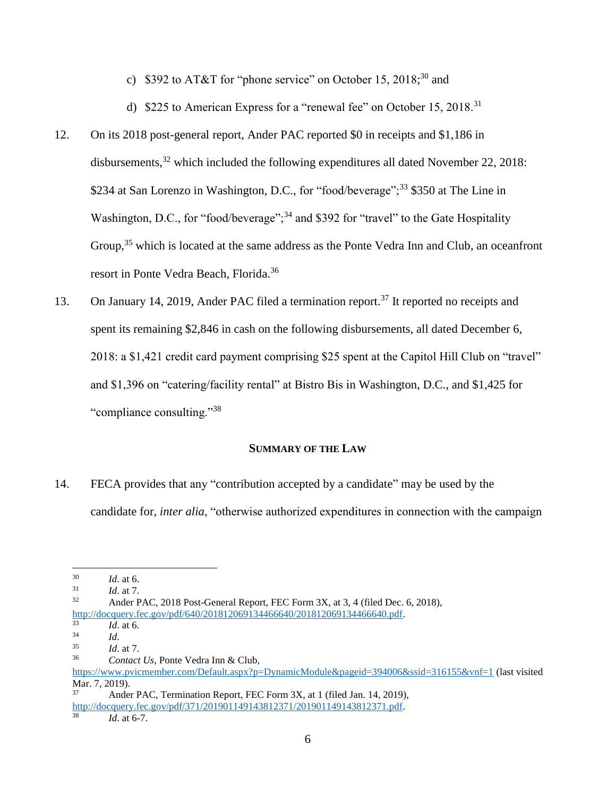c) \$392 to AT&T for "phone service" on October 15, 2018;<sup>30</sup> and

d) \$225 to American Express for a "renewal fee" on October 15, 2018.<sup>31</sup>

- 12. On its 2018 post-general report, Ander PAC reported \$0 in receipts and \$1,186 in disbursements,  $32$  which included the following expenditures all dated November 22, 2018: \$234 at San Lorenzo in Washington, D.C., for "food/beverage";<sup>33</sup> \$350 at The Line in Washington, D.C., for "food/beverage";<sup>34</sup> and \$392 for "travel" to the Gate Hospitality Group,<sup>35</sup> which is located at the same address as the Ponte Vedra Inn and Club, an oceanfront resort in Ponte Vedra Beach, Florida.<sup>36</sup>
- 13. On January 14, 2019, Ander PAC filed a termination report.<sup>37</sup> It reported no receipts and spent its remaining \$2,846 in cash on the following disbursements, all dated December 6, 2018: a \$1,421 credit card payment comprising \$25 spent at the Capitol Hill Club on "travel" and \$1,396 on "catering/facility rental" at Bistro Bis in Washington, D.C., and \$1,425 for "compliance consulting."<sup>38</sup>

## **SUMMARY OF THE LAW**

14. FECA provides that any "contribution accepted by a candidate" may be used by the candidate for, *inter alia*, "otherwise authorized expenditures in connection with the campaign

 $\overline{\phantom{a}}$ 

*Id.* at 6-7.

 $\frac{30}{31}$  *Id.* at 6.

 $\frac{31}{32}$  *Id.* at 7.

Ander PAC, 2018 Post-General Report, FEC Form 3X, at 3, 4 (filed Dec. 6, 2018), [http://docquery.fec.gov/pdf/640/201812069134466640/201812069134466640.pdf.](http://docquery.fec.gov/pdf/640/201812069134466640/201812069134466640.pdf)<br>33 *Id.* at 6

 $\frac{33}{34}$  *Id.* at 6.

 $\frac{34}{35}$  *Id.* 

 $\frac{35}{36}$  *Id.* at 7.

<sup>36</sup> *Contact Us*, Ponte Vedra Inn & Club, <https://www.pvicmember.com/Default.aspx?p=DynamicModule&pageid=394006&ssid=316155&vnf=1> (last visited Mar. 7, 2019). <sup>37</sup> Ander PAC, Termination Report, FEC Form 3X, at 1 (filed Jan. 14, 2019),

[http://docquery.fec.gov/pdf/371/201901149143812371/201901149143812371.pdf.](http://docquery.fec.gov/pdf/371/201901149143812371/201901149143812371.pdf)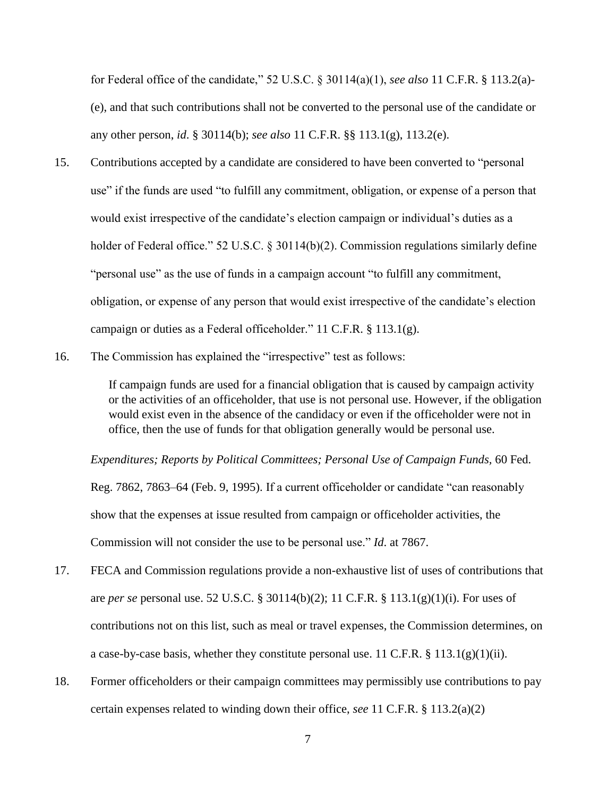for Federal office of the candidate," 52 U.S.C. § 30114(a)(1), *see also* 11 C.F.R. § 113.2(a)- (e), and that such contributions shall not be converted to the personal use of the candidate or any other person, *id*. § 30114(b); *see also* 11 C.F.R. §§ 113.1(g), 113.2(e).

- 15. Contributions accepted by a candidate are considered to have been converted to "personal use" if the funds are used "to fulfill any commitment, obligation, or expense of a person that would exist irrespective of the candidate's election campaign or individual's duties as a holder of Federal office." 52 U.S.C. § 30114(b)(2). Commission regulations similarly define "personal use" as the use of funds in a campaign account "to fulfill any commitment, obligation, or expense of any person that would exist irrespective of the candidate's election campaign or duties as a Federal officeholder." 11 C.F.R. § 113.1(g).
- 16. The Commission has explained the "irrespective" test as follows:

If campaign funds are used for a financial obligation that is caused by campaign activity or the activities of an officeholder, that use is not personal use. However, if the obligation would exist even in the absence of the candidacy or even if the officeholder were not in office, then the use of funds for that obligation generally would be personal use.

*Expenditures; Reports by Political Committees; Personal Use of Campaign Funds,* 60 Fed.

Reg. 7862, 7863–64 (Feb. 9, 1995). If a current officeholder or candidate "can reasonably show that the expenses at issue resulted from campaign or officeholder activities, the Commission will not consider the use to be personal use." *Id*. at 7867.

- 17. FECA and Commission regulations provide a non-exhaustive list of uses of contributions that are *per se* personal use. 52 U.S.C. § 30114(b)(2); 11 C.F.R. § 113.1(g)(1)(i). For uses of contributions not on this list, such as meal or travel expenses, the Commission determines, on a case-by-case basis, whether they constitute personal use. 11 C.F.R.  $\S$  113.1(g)(1)(ii).
- 18. Former officeholders or their campaign committees may permissibly use contributions to pay certain expenses related to winding down their office, *see* 11 C.F.R. § 113.2(a)(2)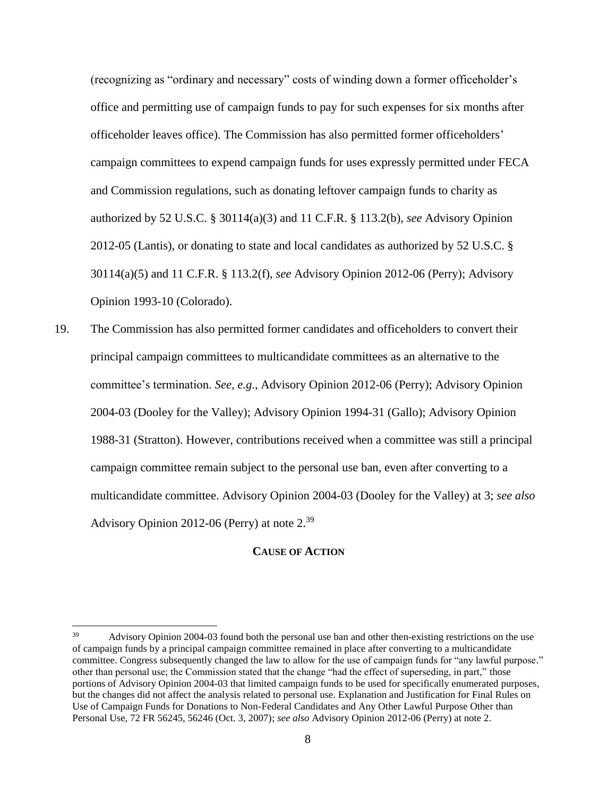(recognizing as "ordinary and necessary" costs of winding down a former officeholder's office and permitting use of campaign funds to pay for such expenses for six months after officeholder leaves office). The Commission has also permitted former officeholders' campaign committees to expend campaign funds for uses expressly permitted under FECA and Commission regulations, such as donating leftover campaign funds to charity as authorized by 52 U.S.C. § 30114(a)(3) and 11 C.F.R. § 113.2(b), *see* Advisory Opinion 2012-05 (Lantis), or donating to state and local candidates as authorized by 52 U.S.C. § 30114(a)(5) and 11 C.F.R. § 113.2(f), *see* Advisory Opinion 2012-06 (Perry); Advisory Opinion 1993-10 (Colorado).

19. The Commission has also permitted former candidates and officeholders to convert their principal campaign committees to multicandidate committees as an alternative to the committee's termination. *See, e.g*., Advisory Opinion 2012-06 (Perry); Advisory Opinion 2004-03 (Dooley for the Valley); Advisory Opinion 1994-31 (Gallo); Advisory Opinion 1988-31 (Stratton). However, contributions received when a committee was still a principal campaign committee remain subject to the personal use ban, even after converting to a multicandidate committee. Advisory Opinion 2004-03 (Dooley for the Valley) at 3; *see also* Advisory Opinion 2012-06 (Perry) at note 2.<sup>39</sup>

#### **CAUSE OF ACTION**

<sup>39</sup> Advisory Opinion 2004-03 found both the personal use ban and other then-existing restrictions on the use of campaign funds by a principal campaign committee remained in place after converting to a multicandidate committee. Congress subsequently changed the law to allow for the use of campaign funds for "any lawful purpose." other than personal use; the Commission stated that the change "had the effect of superseding, in part," those portions of Advisory Opinion 2004-03 that limited campaign funds to be used for specifically enumerated purposes, but the changes did not affect the analysis related to personal use. Explanation and Justification for Final Rules on Use of Campaign Funds for Donations to Non-Federal Candidates and Any Other Lawful Purpose Other than Personal Use, 72 FR 56245, 56246 (Oct. 3, 2007); *see also* Advisory Opinion 2012-06 (Perry) at note 2.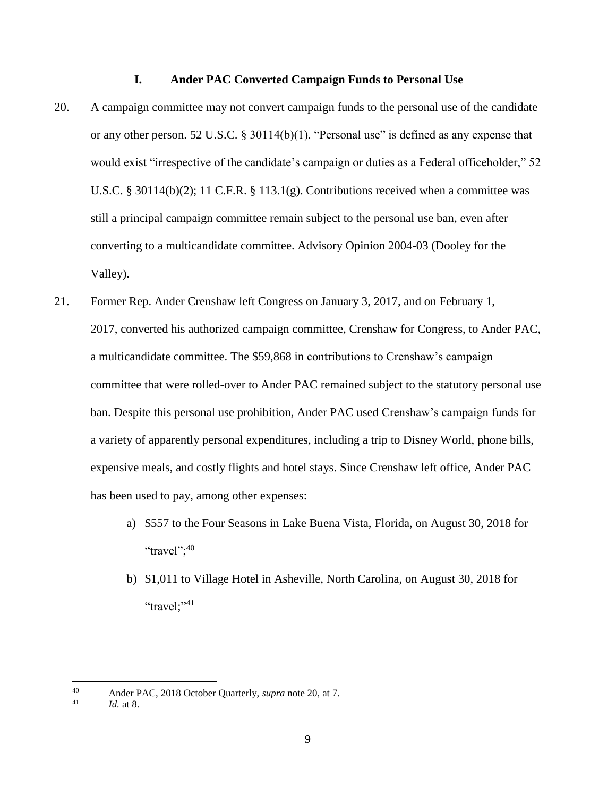## **I. Ander PAC Converted Campaign Funds to Personal Use**

- 20. A campaign committee may not convert campaign funds to the personal use of the candidate or any other person. 52 U.S.C. § 30114(b)(1). "Personal use" is defined as any expense that would exist "irrespective of the candidate's campaign or duties as a Federal officeholder," 52 U.S.C. § 30114(b)(2); 11 C.F.R. § 113.1(g). Contributions received when a committee was still a principal campaign committee remain subject to the personal use ban, even after converting to a multicandidate committee. Advisory Opinion 2004-03 (Dooley for the Valley).
- 21. Former Rep. Ander Crenshaw left Congress on January 3, 2017, and on February 1, 2017, converted his authorized campaign committee, Crenshaw for Congress, to Ander PAC, a multicandidate committee. The \$59,868 in contributions to Crenshaw's campaign committee that were rolled-over to Ander PAC remained subject to the statutory personal use ban. Despite this personal use prohibition, Ander PAC used Crenshaw's campaign funds for a variety of apparently personal expenditures, including a trip to Disney World, phone bills, expensive meals, and costly flights and hotel stays. Since Crenshaw left office, Ander PAC has been used to pay, among other expenses:
	- a) \$557 to the Four Seasons in Lake Buena Vista, Florida, on August 30, 2018 for "travel"; $40$
	- b) \$1,011 to Village Hotel in Asheville, North Carolina, on August 30, 2018 for "travel;"<sup>41</sup>

<sup>40</sup> <sup>40</sup> Ander PAC, 2018 October Quarterly, *supra* note 20, at 7.

*Id.* at 8.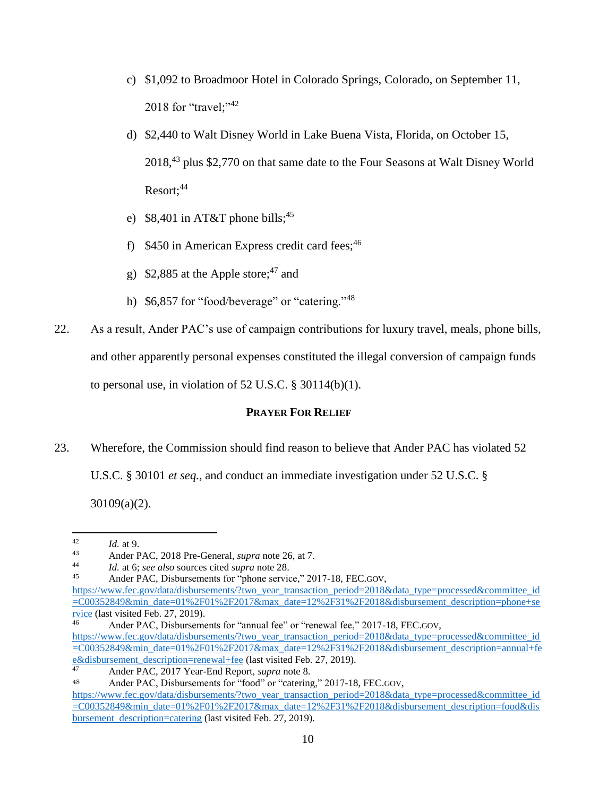- c) \$1,092 to Broadmoor Hotel in Colorado Springs, Colorado, on September 11, 2018 for "travel;"<sup>42</sup>
- d) \$2,440 to Walt Disney World in Lake Buena Vista, Florida, on October 15, 2018,<sup>43</sup> plus \$2,770 on that same date to the Four Seasons at Walt Disney World Resort:<sup>44</sup>
- e) \$8,401 in AT&T phone bills;<sup>45</sup>
- f) \$450 in American Express credit card fees;<sup>46</sup>
- g) \$2,885 at the Apple store;<sup>47</sup> and
- h)  $$6,857$  for "food/beverage" or "catering."<sup>48</sup>
- 22. As a result, Ander PAC's use of campaign contributions for luxury travel, meals, phone bills, and other apparently personal expenses constituted the illegal conversion of campaign funds to personal use, in violation of  $52$  U.S.C. § 30114(b)(1).

# **PRAYER FOR RELIEF**

23. Wherefore, the Commission should find reason to believe that Ander PAC has violated 52

U.S.C. § 30101 *et seq.*, and conduct an immediate investigation under 52 U.S.C. §

30109(a)(2).

 $42\,$  $\frac{42}{43}$  *Id.* at 9.

<sup>43</sup> Ander PAC, 2018 Pre-General, *supra* note 26, at 7.

<sup>44</sup> *Id.* at 6; *see also* sources cited *supra* note 28.

Ander PAC, Disbursements for "phone service," 2017-18, FEC.GOV,

[https://www.fec.gov/data/disbursements/?two\\_year\\_transaction\\_period=2018&data\\_type=processed&committee\\_id](https://www.fec.gov/data/disbursements/?two_year_transaction_period=2018&data_type=processed&committee_id=C00352849&min_date=01%2F01%2F2017&max_date=12%2F31%2F2018&disbursement_description=phone+service) [=C00352849&min\\_date=01%2F01%2F2017&max\\_date=12%2F31%2F2018&disbursement\\_description=phone+se](https://www.fec.gov/data/disbursements/?two_year_transaction_period=2018&data_type=processed&committee_id=C00352849&min_date=01%2F01%2F2017&max_date=12%2F31%2F2018&disbursement_description=phone+service) [rvice](https://www.fec.gov/data/disbursements/?two_year_transaction_period=2018&data_type=processed&committee_id=C00352849&min_date=01%2F01%2F2017&max_date=12%2F31%2F2018&disbursement_description=phone+service) (last visited Feb. 27, 2019).

Ander PAC, Disbursements for "annual fee" or "renewal fee," 2017-18, FEC.GOV, [https://www.fec.gov/data/disbursements/?two\\_year\\_transaction\\_period=2018&data\\_type=processed&committee\\_id](https://www.fec.gov/data/disbursements/?two_year_transaction_period=2018&data_type=processed&committee_id=C00352849&min_date=01%2F01%2F2017&max_date=12%2F31%2F2018&disbursement_description=annual+fee&disbursement_description=renewal+fee) [=C00352849&min\\_date=01%2F01%2F2017&max\\_date=12%2F31%2F2018&disbursement\\_description=annual+fe](https://www.fec.gov/data/disbursements/?two_year_transaction_period=2018&data_type=processed&committee_id=C00352849&min_date=01%2F01%2F2017&max_date=12%2F31%2F2018&disbursement_description=annual+fee&disbursement_description=renewal+fee) [e&disbursement\\_description=renewal+fee](https://www.fec.gov/data/disbursements/?two_year_transaction_period=2018&data_type=processed&committee_id=C00352849&min_date=01%2F01%2F2017&max_date=12%2F31%2F2018&disbursement_description=annual+fee&disbursement_description=renewal+fee) (last visited Feb. 27, 2019).

<sup>47</sup> Ander PAC, 2017 Year-End Report, *supra* note 8.

<sup>48</sup> Ander PAC, Disbursements for "food" or "catering," 2017-18, FEC.GOV,

[https://www.fec.gov/data/disbursements/?two\\_year\\_transaction\\_period=2018&data\\_type=processed&committee\\_id](https://www.fec.gov/data/disbursements/?two_year_transaction_period=2018&data_type=processed&committee_id=C00352849&min_date=01%2F01%2F2017&max_date=12%2F31%2F2018&disbursement_description=food&disbursement_description=catering) [=C00352849&min\\_date=01%2F01%2F2017&max\\_date=12%2F31%2F2018&disbursement\\_description=food&dis](https://www.fec.gov/data/disbursements/?two_year_transaction_period=2018&data_type=processed&committee_id=C00352849&min_date=01%2F01%2F2017&max_date=12%2F31%2F2018&disbursement_description=food&disbursement_description=catering) bursement description=catering (last visited Feb. 27, 2019).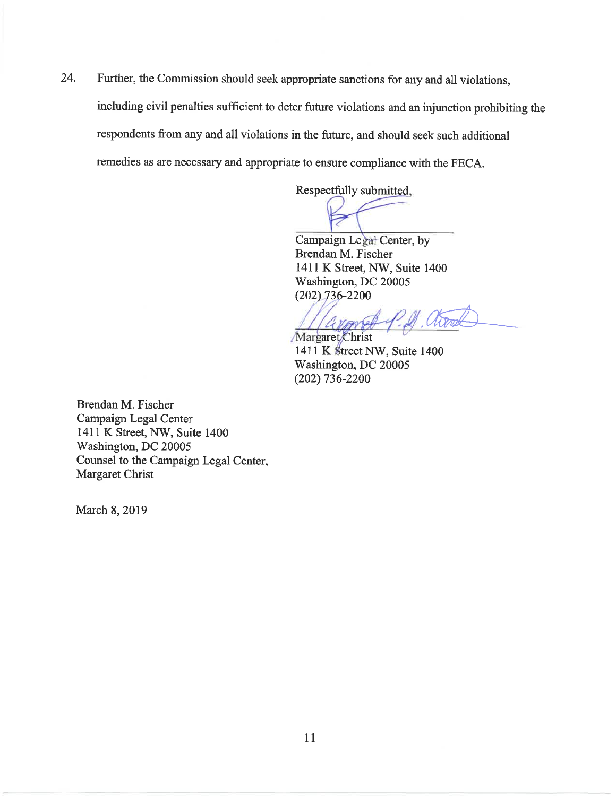Further, the Commission should seek appropriate sanctions for any and all violations, 24. including civil penalties sufficient to deter future violations and an injunction prohibiting the respondents from any and all violations in the future, and should seek such additional remedies as are necessary and appropriate to ensure compliance with the FECA.

Respectfully submitted,

Campaign Legal Center, by Brendan M. Fischer 1411 K Street, NW, Suite 1400 Washington, DC 20005  $(202)$  736-2200

Margaret Christ 1411 K Street NW, Suite 1400 Washington, DC 20005  $(202)$  736-2200

Brendan M. Fischer Campaign Legal Center 1411 K Street, NW, Suite 1400 Washington, DC 20005 Counsel to the Campaign Legal Center, Margaret Christ

March 8, 2019